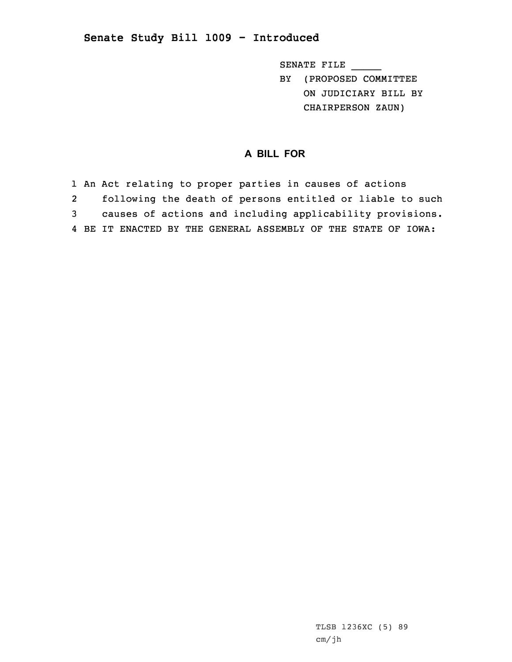## **Senate Study Bill 1009 - Introduced**

SENATE FILE \_\_\_\_\_ BY (PROPOSED COMMITTEE ON JUDICIARY BILL BY

CHAIRPERSON ZAUN)

## **A BILL FOR**

1 An Act relating to proper parties in causes of actions 2 following the death of persons entitled or liable to such 3 causes of actions and including applicability provisions. 4 BE IT ENACTED BY THE GENERAL ASSEMBLY OF THE STATE OF IOWA: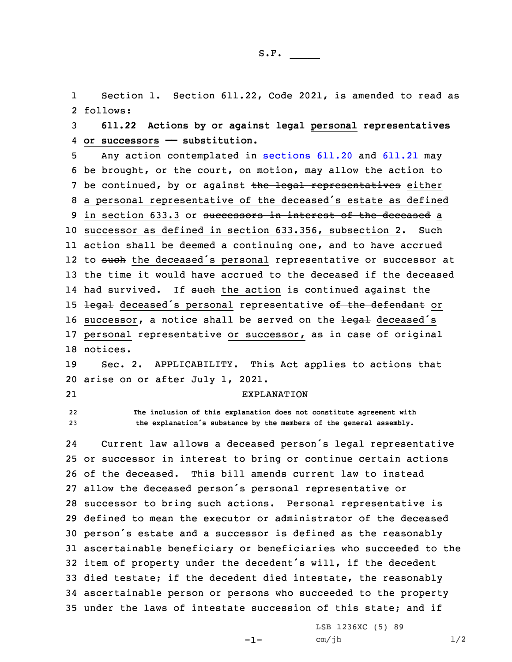1 Section 1. Section 611.22, Code 2021, is amended to read as 2 follows:

3 **611.22 Actions by or against legal personal representatives** 4 **or successors —— substitution.**

5 Any action contemplated in [sections](https://www.legis.iowa.gov/docs/code/2021/611.20.pdf) 611.20 and [611.21](https://www.legis.iowa.gov/docs/code/2021/611.21.pdf) may 6 be brought, or the court, on motion, may allow the action to 7 be continued, by or against the legal representatives either <sup>8</sup> <sup>a</sup> personal representative of the deceased's estate as defined 9 in section 633.3 or successors in interest of the deceased a 10 successor as defined in section 633.356, subsection 2. Such 11 action shall be deemed <sup>a</sup> continuing one, and to have accrued 12 to <del>such</del> the deceased's personal representative or successor at 13 the time it would have accrued to the deceased if the deceased 14 had survived. If <del>such</del> the action is continued against the 15 legal deceased's personal representative of the defendant or 16 successor, a notice shall be served on the <del>legal</del> deceased's 17 personal representative or successor, as in case of original 18 notices.

19 Sec. 2. APPLICABILITY. This Act applies to actions that 20 arise on or after July 1, 2021.

21

## EXPLANATION

22 **The inclusion of this explanation does not constitute agreement with** <sup>23</sup> **the explanation's substance by the members of the general assembly.**

24 Current law allows <sup>a</sup> deceased person's legal representative or successor in interest to bring or continue certain actions of the deceased. This bill amends current law to instead allow the deceased person's personal representative or successor to bring such actions. Personal representative is defined to mean the executor or administrator of the deceased person's estate and <sup>a</sup> successor is defined as the reasonably ascertainable beneficiary or beneficiaries who succeeded to the item of property under the decedent's will, if the decedent died testate; if the decedent died intestate, the reasonably ascertainable person or persons who succeeded to the property under the laws of intestate succession of this state; and if

-1-

LSB 1236XC (5) 89  $cm/jh$   $1/2$